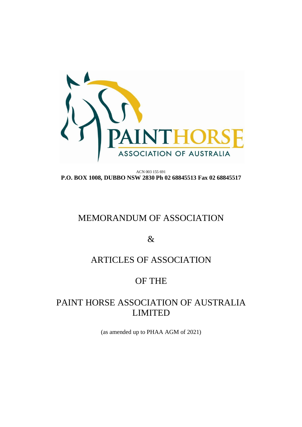

ACN 003 155 691 **P.O. BOX 1008, DUBBO NSW 2830 Ph 02 68845513 Fax 02 68845517**

# MEMORANDUM OF ASSOCIATION

&

# ARTICLES OF ASSOCIATION

# OF THE

# PAINT HORSE ASSOCIATION OF AUSTRALIA LIMITED

(as amended up to PHAA AGM of 2021)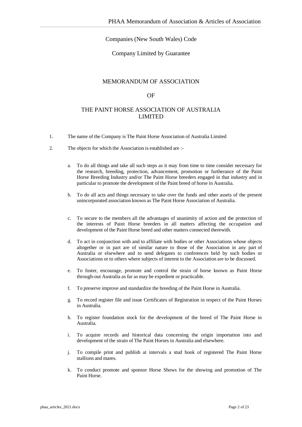# Companies (New South Wales) Code

## Company Limited by Guarantee

## MEMORANDUM OF ASSOCIATION

### OF

# THE PAINT HORSE ASSOCIATION OF AUSTRALIA LIMITED

- 1. The name of the Company is The Paint Horse Association of Australia Limited
- 2. The objects for which the Association is established are :
	- a. To do all things and take all such steps as it may from time to time consider necessary for the research, breeding, protection, advancement, promotion or furtherance of the Paint Horse Breeding Industry and/or The Paint Horse breeders engaged in that industry and in particular to promote the development of the Paint breed of horse in Australia.
	- b. To do all acts and things necessary to take over the funds and other assets of the present unincorporated association known as The Paint Horse Association of Australia.
	- c. To secure to the members all the advantages of unanimity of action and the protection of the interests of Paint Horse breeders in all matters affecting the occupation and development of the Paint Horse breed and other matters connected therewith.
	- d. To act in conjunction with and to affiliate with bodies or other Associations whose objects altogether or in part are of similar nature to those of the Association in any part of Australia or elsewhere and to send delegates to conferences held by such bodies or Associations or to others where subjects of interest to the Association are to be discussed.
	- e. To foster, encourage, promote and control the strain of horse known as Paint Horse through-out Australia as far as may be expedient or practicable.
	- f. To preserve improve and standardize the breeding of the Paint Horse in Australia.
	- g. To record register file and issue Certificates of Registration in respect of the Paint Horses in Australia.
	- h. To register foundation stock for the development of the breed of The Paint Horse in Australia.
	- i. To acquire records and historical data concerning the origin importation into and development of the strain of The Paint Horses in Australia and elsewhere.
	- j. To compile print and publish at intervals a stud book of registered The Paint Horse stallions and mares.
	- k. To conduct promote and sponsor Horse Shows for the showing and promotion of The Paint Horse.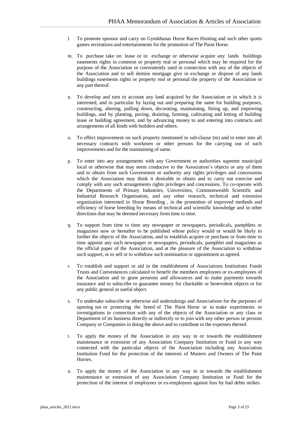- l. To promote sponsor and carry on Gymkhanas Horse Races Hunting and such other sports games recreations and entertainments for the promotion of The Paint Horse.
- m. To purchase take on lease or in exchange or otherwise acquire any lands buildings easements rights in common or property real or personal which may be required for the purpose of the Association or conveniently used in connection with any of the objects of the Association and to sell demise mortgage give in exchange or dispose of any lands buildings easements rights or property real or personal the property of the Association or any part thereof.
- n. To develop and turn to account any land acquired by the Association or in which it is interested, and in particular by laying out and preparing the same for building purposes, constructing, altering, pulling down, decorating, maintaining, fitting up, and improving buildings, and by planting, paving, draining, farming, cultivating and letting of building lease or building agreement, and by advancing money to and entering into contracts and arrangements of all kinds with builders and others.
- o. To effect improvement on such property mentioned in sub-clause (m) and to enter into all necessary contracts with workmen or other persons for the carrying out of such improvements and for the maintaining of same.
- p. To enter into any arrangements with any Government or authorities supreme municipal local or otherwise that may seem conducive to the Association's objects or any of them and to obtain from such Government or authority any rights privileges and concessions which the Association may think it desirable to obtain and to carry out exercise and comply with any such arrangements rights privileges and concessions. To co-operate with the Departments of Primary Industries, Universities, Commonwealth Scientific and Industrial Research Organisation, and any other research, technical and extension organization interested in Horse Breeding , in the promotion of improved methods and efficiency of horse breeding by means of technical and scientific knowledge and in other directions that may be deemed necessary from time to time.
- q. To support from time to time any newspaper or newspapers, periodicals, pamphlets or magazines now or hereafter to be published whose policy would or would be likely to further the objects of the Association, and to establish acquire or purchase or from time to time appoint any such newspaper or newspapers, periodicals, pamphlet and magazines as the official paper of the Association, and at the pleasure of the Association to withdraw such support, or to sell or to withdraw such nomination or appointment as agreed.
- r. To establish and support or aid in the establishment of Associations Institutions Funds Trusts and Conveniences calculated to benefit the members employees or ex-employees of the Association and to grant pensions and allowances and to make payments towards insurance and to subscribe to guarantee money for charitable or benevolent objects or for any public general or useful object.
- s. To undertake subscribe or otherwise aid undertakings and Associations for the purposes of opening out or protecting the breed of The Paint Horse or to make experiments or investigations in connection with any of the objects of the Association or any class or Department of its business directly or indirectly or to join with any other person or persons Company or Companies in doing the above and to contribute to the expenses thereof.
- t. To apply the money of the Association in any way in or towards the establishment maintenance or extension of any Association Company Institution or Fund in any way connected with the particular objects of the Association including any Association Institution Fund for the protection of the interests of Masters and Owners of The Paint Horses.
- u. To apply the money of the Association in any way in or towards the establishment maintenance or extension of any Association Company Institution or Fund for the protection of the interest of employees or ex-employees against loss by bad debts strikes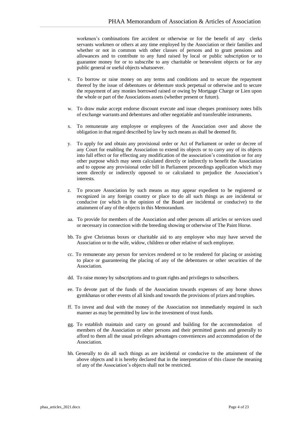workmen's combinations fire accident or otherwise or for the benefit of any clerks servants workmen or others at any time employed by the Association or their families and whether or not in common with other classes of persons and to grant pensions and allowances and to contribute to any fund raised by local or public subscription or to guarantee money for or to subscribe to any charitable or benevolent objects or for any public general or useful objects whatsoever.

- v. To borrow or raise money on any terms and conditions and to secure the repayment thereof by the issue of debentures or debenture stock perpetual or otherwise and to secure the repayment of any monies borrowed raised or owing by Mortgage Charge or Lien upon the whole or part of the Associations assets (whether present or future).
- w. To draw make accept endorse discount execute and issue cheques promissory notes bills of exchange warrants and debentures and other negotiable and transferable instruments.
- x. To remunerate any employee or employees of the Association over and above the obligation in that regard described by law by such means as shall be deemed fit.
- y. To apply for and obtain any provisional order or Act of Parliament or order or decree of any Court for enabling the Association to extend its objects or to carry any of its objects into full effect or for effecting any modification of the association's constitution or for any other purpose which may seem calculated directly or indirectly to benefit the Association and to oppose any provisional order bill in Parliament proceedings application which may seem directly or indirectly opposed to or calculated to prejudice the Association's interests.
- z. To procure Association by such means as may appear expedient to be registered or recognized in any foreign country or place to do all such things as are incidental or conducive (or which in the opinion of the Board are incidental or conducive) to the attainment of any of the objects in this Memorandum.
- aa. To provide for members of the Association and other persons all articles or services used or necessary in connection with the breeding showing or otherwise of The Paint Horse.
- bb. To give Christmas boxes or charitable aid to any employee who may have served the Association or to the wife, widow, children or other relative of such employee.
- cc. To remunerate any person for services rendered or to be rendered for placing or assisting to place or guaranteeing the placing of any of the debentures or other securities of the Association.
- dd. To raise money by subscriptions and to grant rights and privileges to subscribers.
- ee. To devote part of the funds of the Association towards expenses of any horse shows gymkhanas or other events of all kinds and towards the provisions of prizes and trophies.
- ff. To invest and deal with the money of the Association not immediately required in such manner as may be permitted by law in the investment of trust funds.
- gg. To establish maintain and carry on ground and building for the accommodation of members of the Association or other persons and their permitted guests and generally to afford to them all the usual privileges advantages conveniences and accommodation of the Association.
- hh. Generally to do all such things as are incidental or conducive to the attainment of the above objects and it is hereby declared that in the interpretation of this clause the meaning of any of the Association's objects shall not be restricted.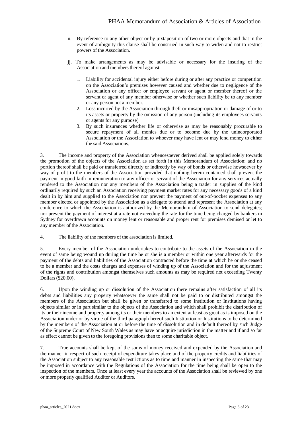- ii. By reference to any other object or by juxtaposition of two or more objects and that in the event of ambiguity this clause shall be construed in such way to widen and not to restrict powers of the Association.
- jj. To make arrangements as may be advisable or necessary for the insuring of the Association and members thereof against:
	- 1. Liability for accidental injury either before during or after any practice or competition on the Association's premises however caused and whether due to negligence of the Association or any officer or employee servant or agent or member thereof or the servant or agent of any member otherwise or whether such liability be to any member or any person not a member.
	- 2. Loss incurred by the Association through theft or misappropriation or damage of or to its assets or property by the omission of any person (including its employees servants or agents for any purpose)
	- 3. By such insurances whether life or otherwise as may be reasonably procurable to secure repayment of all monies due or to become due by the unincorporated Association or the Association to whoever may have lent or may lend money to either the said Associations.

3. The income and property of the Association whencesoever derived shall be applied solely towards the promotion of the objects of the Association as set forth in this Memorandum of Association: and no portion thereof shall be paid or transferred directly or indirectly by way of bonds or otherwise howsoever by way of profit to the members of the Association provided that nothing herein contained shall prevent the payment in good faith in remuneration to any officer or servant of the Association for any services actually rendered to the Association nor any members of the Association being a trader in supplies of the kind ordinarily required by such an Association receiving payment market rates for any necessary goods of a kind dealt in by him and supplied to the Association nor prevent the payment of out-of-pocket expenses to any member elected or appointed by the Association as a delegate to attend and represent the Association at any conference to which the Association is authorized by the Memorandum of Association to send delegates; nor prevent the payment of interest at a rate not exceeding the rate for the time being charged by bankers in Sydney for overdrawn accounts on money lent or reasonable and proper rent for premises demised or let to any member of the Association.

4. The liability of the members of the association is limited.

5. Every member of the Association undertakes to contribute to the assets of the Association in the event of same being wound up during the time he or she is a member or within one year afterwards for the payment of the debts and liabilities of the Association contracted before the time at which he or she ceased to be a member and the costs charges and expenses of winding up of the Association and for the adjustment of the rights and contribution amongst themselves such amounts as may be required not exceeding Twenty Dollars(\$20.00).

6. Upon the winding up or dissolution of the Association there remains after satisfaction of all its debts and liabilities any property whatsoever the same shall not be paid to or distributed amongst the members of the Association but shall be given or transferred to some Institution or Institutions having objects similar or in part similar to the objects of the Association and which shall prohibit the distribution of its or their income and property among its or their members to an extent at least as great as is imposed on the Association under or by virtue of the third paragraph hereof such Institution or Institutions to be determined by the members of the Association at or before the time of dissolution and in default thereof by such Judge of the Supreme Court of New South Wales as may have or acquire jurisdiction in the matter and if and so far as effect cannot be given to the foregoing provisions then to some charitable object.

7. True accounts shall be kept of the sums of money received and expended by the Association and the manner in respect of such receipt of expenditure takes place and of the property credits and liabilities of the Association subject to any reasonable restrictions as to time and manner in inspecting the same that may be imposed in accordance with the Regulations of the Association for the time being shall be open to the inspection of the members. Once at least every year the accounts of the Association shall be reviewed by one or more properly qualified Auditor or Auditors.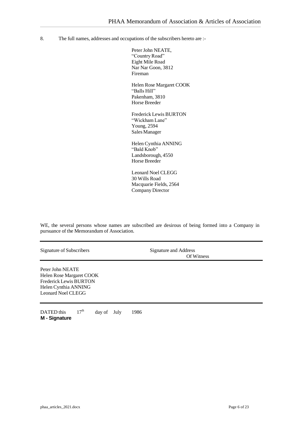8. The full names, addresses and occupations of the subscribers hereto are :-

Peter John NEATE. "Country Road" Eight Mile Road Nar Nar Goon, 3812 Fireman

Helen Rose Margaret COOK "Balls Hill" Pakenham, 3810 Horse Breeder

Frederick Lewis BURTON "Wickham Lane" Young, 2594 Sales Manager

Helen Cynthia ANNING "Bald Knob" Landsborough, 4550 Horse Breeder

Leonard Noel CLEGG 30 Wills Road Macquarie Fields, 2564 Company Director

WE, the several persons whose names are subscribed are desirous of being formed into a Company in pursuance of the Memorandum of Association.

| Signature of Subscribers                                                                                                    | Signature and Address<br>Of Witness |  |
|-----------------------------------------------------------------------------------------------------------------------------|-------------------------------------|--|
| Peter John NEATE<br>Helen Rose Margaret COOK<br><b>Frederick Lewis BURTON</b><br>Helen Cynthia ANNING<br>Leonard Noel CLEGG |                                     |  |

DATED this  $17<sup>th</sup>$  day of July 1986 **M - Signature**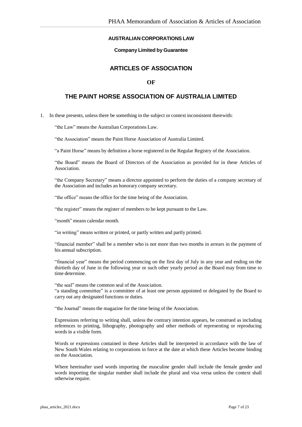## **AUSTRALIAN CORPORATIONS LAW**

### **Company Limited by Guarantee**

# **ARTICLES OF ASSOCIATION**

## **OF**

# **THE PAINT HORSE ASSOCIATION OF AUSTRALIA LIMITED**

1. In these presents, unlessthere be something in the subject or context inconsistent therewith:

"the Law" means the Australian Corporations Law.

"the Association" means the Paint Horse Association of Australia Limited.

"a Paint Horse" means by definition a horse registered in the Regular Registry of the Association.

"the Board" means the Board of Directors of the Association as provided for in these Articles of Association.

"the Company Secretary" means a director appointed to perform the duties of a company secretary of the Association and includes an honorary company secretary.

"the office" meansthe office for the time being of the Association.

"the register" means the register of members to be kept pursuant to the Law.

"month" means calendar month.

"in writing" means written or printed, or partly written and partly printed.

"financial member" shall be a member who is not more than two months in arrears in the payment of his annual subscription.

"financial year" means the period commencing on the first day of July in any year and ending on the thirtieth day of June in the following year or such other yearly period as the Board may from time to time determine.

"the seal" means the common seal of the Association. "a standing committee" is a committee of at least one person appointed or delegated by the Board to carry out any designated functions or duties.

"the Journal" meansthe magazine for the time being of the Association.

Expressions referring to writing shall, unless the contrary intention appears, be construed as including references to printing, lithography, photography and other methods of representing or reproducing words in a visible form.

Words or expressions contained in these Articles shall be interpreted in accordance with the law of New South Wales relating to corporations in force at the date at which these Articles become binding on the Association.

Where hereinafter used words importing the masculine gender shall include the female gender and words importing the singular number shall include the plural and visa versa unless the context shall otherwise require.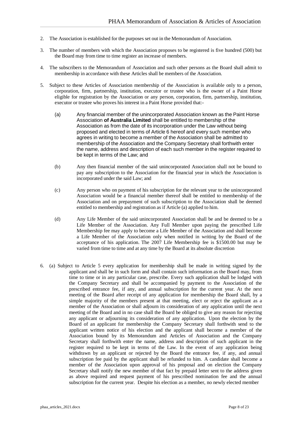- 2. The Association is established for the purposes set out in the Memorandum of Association.
- 3. The number of members with which the Association proposes to be registered is five hundred (500) but the Board may from time to time register an increase of members.
- 4. The subscribers to the Memorandum of Association and such other persons as the Board shall admit to membership in accordance with these Articles shall be members of the Association.
- 5. Subject to these Articles of Association membership of the Association is available only to a person, corporation, firm, partnership, institution, executor or trustee who is the owner of a Paint Horse eligible for registration by the Association or any person, corporation, firm, partnership, institution, executor or trustee who proves his interest in a Paint Horse provided that:-
	- (a) Any financial member of the unincorporated Association known as the Paint Horse Association **of Australia Limited** shall be entitled to membership of the Association as from the date of its incorporation under the Law without being proposed and elected in terms of Article 6 hereof and every such member who agrees in writing to become a member of the Association shall be admitted to membership of the Association and the Company Secretary shall forthwith enter the name, address and description of each such member in the register required to be kept in terms of the Law; and
	- (b) Any then financial member of the said unincorporated Association shall not be bound to pay any subscription to the Association for the financial year in which the Association is incorporated under the said Law; and
	- (c) Any person who on payment of his subscription for the relevant year to the unincorporated Association would be a financial member thereof shall be entitled to membership of the Association and on prepayment of such subscription to the Association shall be deemed entitled to membership and registration as if Article (a) applied to him.
	- (d) Any Life Member of the said unincorporated Association shall be and be deemed to be a Life Member of the Association. Any Full Member upon paying the prescribed Life Membership fee may apply to become a Life Member of the Association and shall become a Life Member of the Association only when notified in writing by the Board of the acceptance of his application. The 2007 Life Membership fee is \$1500.00 but may be varied from time to time and at any time by the Board at its absolute discretion
- 6. (a) Subject to Article 5 every application for membership shall be made in writing signed by the applicant and shall be in such form and shall contain such information as the Board may, from time to time or in any particular case, prescribe. Every such application shall be lodged with the Company Secretary and shall be accompanied by payment to the Association of the prescribed entrance fee, if any, and annual subscription for the current year. At the next meeting of the Board after receipt of any application for membership the Board shall, by a simple majority of the members present at that meeting, elect or reject the applicant as a member of the Association or shall adjourn its consideration of any application until the next meeting of the Board and in no case shall the Board be obliged to give any reason for rejecting any applicant or adjourning its consideration of any application. Upon the election by the Board of an applicant for membership the Company Secretary shall forthwith send to the applicant written notice of his election and the applicant shall become a member of the Association bound by its Memorandum and Articles of Association and the Company Secretary shall forthwith enter the name, address and description of such applicant in the register required to be kept in terms of the Law. In the event of any application being withdrawn by an applicant or rejected by the Board the entrance fee, if any, and annual subscription fee paid by the applicant shall be refunded to him. A candidate shall become a member of the Association upon approval of his proposal and on election the Company Secretary shall notify the new member of that fact by prepaid letter sent to the address given as above required and request payment of his prescribed nomination fee and the annual subscription for the current year. Despite his election as a member, no newly elected member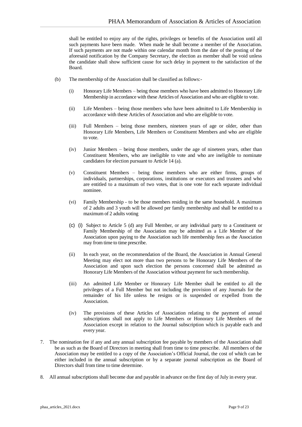shall be entitled to enjoy any of the rights, privileges or benefits of the Association until all such payments have been made. When made he shall become a member of the Association. If such payments are not made within one calendar month from the date of the posting of the aforesaid notification by the Company Secretary, the election as member shall be void unless the candidate shall show sufficient cause for such delay in payment to the satisfaction of the Board.

- (b) The membership of the Association shall be classified as follows:-
	- (i) Honorary Life Members being those members who have been admitted to Honorary Life Membership in accordance with these Articles of Association and who are eligible to vote.
	- (ii) Life Members being those members who have been admitted to Life Membership in accordance with these Articles of Association and who are eligible to vote.
	- (iii) Full Members being those members, nineteen years of age or older, other than Honorary Life Members, Life Members or Constituent Members and who are eligible to vote.
	- (iv) Junior Members being those members, under the age of nineteen years, other than Constituent Members, who are ineligible to vote and who are ineligible to nominate candidates for election pursuant to Article 14 (a).
	- (v) Constituent Members being those members who are either firms, groups of individuals, partnerships, corporations, institutions or executors and trustees and who are entitled to a maximum of two votes, that is one vote for each separate individual nominee.
	- (vi) Family Membership to be those members residing in the same household. A maximum of 2 adults and 3 youth will be allowed per family membership and shall be entitled to a maximum of 2 adults voting
	- (c) (i) Subject to Article 5 (d) any Full Member, or any individual party to a Constituent or Family Membership of the Association may be admitted as a Life Member of the Association upon paying to the Association such life membership fees as the Association may from time to time prescribe.
	- (ii) In each year, on the recommendation of the Board, the Association in Annual General Meeting may elect not more than two persons to be Honorary Life Members of the Association and upon such election the persons concerned shall be admitted as Honorary Life Members of the Association without payment for such membership.
	- (iii) An admitted Life Member or Honorary Life Member shall be entitled to all the privileges of a Full Member but not including the provision of any Journals for the remainder of his life unless he resigns or is suspended or expelled from the Association.
	- (iv) The provisions of these Articles of Association relating to the payment of annual subscriptions shall not apply to Life Members or Honorary Life Members of the Association except in relation to the Journal subscription which is payable each and every year.
- 7. The nomination fee if any and any annual subscription fee payable by members of the Association shall be as such as the Board of Directors in meeting shall from time to time prescribe. All members of the Association may be entitled to a copy of the Association's Official Journal, the cost of which can be either included in the annual subscription or by a separate journal subscription as the Board of Directors shall from time to time determine.
- 8. All annual subscriptions shall become due and payable in advance on the first day of July in every year.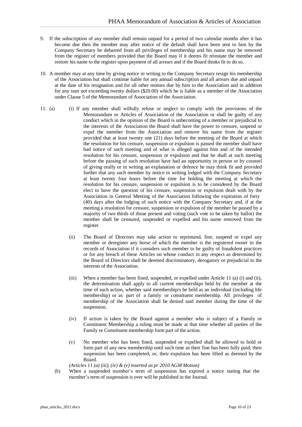- 9. If the subscription of any member shall remain unpaid for a period of two calendar months after it has become due then the member may after notice of the default shall have been sent to him by the Company Secretary be debarred from all privileges of membership and his name may be removed from the register of members provided that the Board may if it deems fit reinstate the member and restore his name to the register upon payment of all arrears and if the Board thinks fit to do so.
- 10. A member may at any time by giving notice in writing to the Company Secretary resign his membership of the Association but shall continue liable for any annual subscription and all arrears due and unpaid at the date of his resignation and for all other monies due by him to the Association and in addition for any sum not exceeding twenty dollars (\$20.00) which he is liable as a member of the Association under Clause 5 of the Memorandum of Association of the Association.
- 11. (a) (i) If any member shall wilfully refuse or neglect to comply with the provisions of the Memorandum or Articles of Association of the Association or shall be guilty of any conduct which in the opinion of the Board is unbecoming of a member or prejudicial to the interests of the Association the Board shall have the power to censure, suspend or expel the member from the Association and remove his name from the register provided that at least twenty one (21) days before the meeting of the Board at which the resolution for his censure, suspension or expulsion is passed the member shall have had notice of such meeting and of what is alleged against him and of the intended resolution for his censure, suspension or expulsion and that he shall at such meeting before the passing of such resolution have had an opportunity in person or by counsel of giving orally or in writing an explanation or defence he may think fit and provided further that any such member by notice in writing lodged with the Company Secretary at least twenty four hours before the time for holding the meeting at which the resolution for his censure, suspension or expulsion is to be considered by the Board elect to have the question of his censure, suspension or expulsion dealt with by the Association in General Meeting of the Association following the expiration of forty (40) days after the lodging of such notice with the Company Secretary and, if at the meeting a resolution for censure, suspension or expulsion of the member be passed by a majority of two thirds of those present and voting (such vote to be taken by ballot) the member shall be censured, suspended or expelled and his name removed from the register.
	- (ii) The Board of Directors may take action to reprimand, fine, suspend or expel any member or deregister any horse of which the member is the registered owner in the records of Association if it considers such member to be guilty of fraudulent practices or for any breach of these Articles on whose conduct in any respect as determined by the Board of Directors shall be deemed discriminatory, derogatory or prejudicial to the interests of the Association.
	- (iii) When a member has been fined, suspended, or expelled under Article 11 (a) (i) and (ii), the determination shall apply to all current memberships held by the member at the time of such action, whether said membership/s be held as an individual (including life membership) or as part of a family or constituent membership. All privileges of membership of the Association shall be denied said member during the time of the suspension.
	- (iv) If action is taken by the Board against a member who is subject of a Family or Constituent Membership a ruling must be made at that time whether all parties of the Family or Constituent membership form part of the action.
	- (v) No member who has been fined, suspended or expelled shall be allowed to hold or form part of any new membership until such time as their fine has been fully paid; their suspension has been completed; or, their expulsion has been lifted as deemed by the Board.

*(Articles 11 (a) (iii), (iv) & (v) inserted as pr 2010 AGM Motion)*

(b) When a suspended member's term of suspension has expired a notice stating that the member's term of suspension is over will be published in the Journal.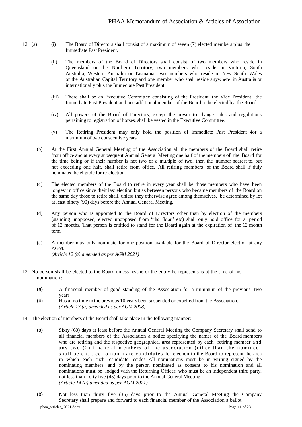- 12. (a) (i) The Board of Directors shall consist of a maximum of seven (7) elected members plus the Immediate Past President.
	- (ii) The members of the Board of Directors shall consist of two members who reside in Queensland or the Northern Territory, two members who reside in Victoria, South Australia, Western Australia or Tasmania, two members who reside in New South Wales or the Australian Capital Territory and one member who shall reside anywhere in Australia or internationally plus the Immediate Past President.
	- (iii) There shall be an Executive Committee consisting of the President, the Vice President, the Immediate Past President and one additional member of the Board to be elected by the Board.
	- (iv) All powers of the Board of Directors, except the power to change rules and regulations pertaining to registration of horses, shall be vested in the Executive Committee.
	- (v) The Retiring President may only hold the position of Immediate Past President for a maximum of two consecutive years.
	- (b) At the First Annual General Meeting of the Association all the members of the Board shall retire from office and at every subsequent Annual General Meeting one half of the members of the Board for the time being or if their number is not two or a multiple of two, then the number nearest to, but not exceeding one half, shall retire from office. All retiring members of the Board shall if duly nominated be eligible for re-election.
	- (c) The elected members of the Board to retire in every year shall be those members who have been longest in office since their last election but as between persons who became members of the Board on the same day those to retire shall, unless they otherwise agree among themselves, be determined by lot at least ninety (90) days before the Annual General Meeting.
	- (d) Any person who is appointed to the Board of Directors other than by election of the members (standing unopposed, elected unopposed from "the floor" etc) shall only hold office for a period of 12 months. That person is entitled to stand for the Board again at the expiration of the 12 month term
	- (e) A member may only nominate for one position available for the Board of Director election at any AGM. *(Article 12 (a) amended as per AGM 2021)*
- 13. No person shall be elected to the Board unless he/she or the entity he represents is at the time of his nomination :-
	- (a) A financial member of good standing of the Association for a minimum of the previous two years
	- (b) Has at no time in the previous 10 years been suspended or expelled from the Association. *(Article 13 (a) amended as per AGM 2008)*
- 14. The election of members of the Board shall take place in the following manner:-
	- (a) Sixty (60) days at least before the Annual General Meeting the Company Secretary shall send to all financial members of the Association a notice specifying the names of the Board members who are retiring and the respective geographical area represented by each retiring member and any two  $(2)$  financial members of the association (other than the nominee) shall be entitled to nominate candidates for election to the Board to represent the area in which each such candidate resides All nominations must be in writing signed by the nominating members and by the person nominated as consent to his nomination and all nominations must be lodged with the Returning Officer, who must be an independent third party, not less than forty five (45) days prior to the Annual General Meeting. *(Article 14 (a) amended as per AGM 2021)*
	- phaa\_articles\_2021.docx Page 11 of 23 (b) Not less than thirty five (35) days prior to the Annual General Meeting the Company Secretary shall prepare and forward to each financial member of the Association a ballot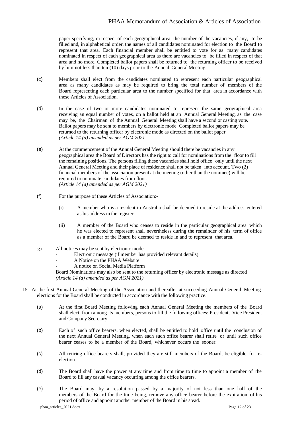paper specifying, in respect of each geographical area, the number of the vacancies, if any, to be filled and, in alphabetical order, the names of all candidates nominated for election to the Board to represent that area. Each financial member shall be entitled to vote for as many candidates nominated in respect of each geographical area as there are vacancies to be filled in respect of that area and no more. Completed ballot papers shall be returned to the returning officer to be received by him not less than ten (10) days prior to the Annual General Meeting.

- (c) Members shall elect from the candidates nominated to represent each particular geographical area as many candidates as may be required to bring the total number of members of the Board representing each particular area to the number specified for that area in accordance with these Articles of Association.
- (d) In the case of two or more candidates nominated to represent the same geographical area receiving an equal number of votes, on a ballot held at an Annual General Meeting, as the case may be, the Chairman of the Annual General Meeting shall have a second or casting vote. Ballot papers may be sent to members by electronic mode. Completed ballot papers may be returned to the returning officer by electronic mode as directed on the ballot paper. *(Article 14 (a) amended as per AGM 2021*
- (e) At the commencement of the Annual General Meeting should there be vacancies in any geographical area the Board of Directors has the right to call for nominations from the floor to fill the remaining positions. The persons filling these vacancies shall hold office only until the next Annual General Meeting and their place of residence shall not be taken into account. Two (2) financial members of the association present at the meeting (other than the nominee) will be required to nominate candidates from floor. *(Article 14 (a) amended as per AGM 2021)*
- (f) For the purpose of these Articles of Association:-
	- (i) A member who is a resident in Australia shall be deemed to reside at the address entered as his address in the register.
	- (ii) A member of the Board who ceases to reside in the particular geographical area which he was elected to represent shall nevertheless during the remainder of his term of office as a member of the Board be deemed to reside in and to represent that area.
- g) All notices may be sent by electronic mode
	- Electronic message (if member has provided relevant details)
	- A Notice on the PHAA Website
	- A notice on Social Media Platform

Board Nominations may also be sent to the returning officer by electronic message as directed *(Article 14 (a) amended as per AGM 2021)*

- 15. At the first Annual General Meeting of the Association and thereafter at succeeding Annual General Meeting elections for the Board shall be conducted in accordance with the following practice:
	- (a) At the first Board Meeting following each Annual General Meeting the members of the Board shall elect, from among its members, persons to fill the following offices: President, Vice President and Company Secretary.
	- (b) Each of such office bearers, when elected, shall be entitled to hold office until the conclusion of the next Annual General Meeting, when each such office bearer shall retire or until such office bearer ceases to be a member of the Board, whichever occurs the sooner.
	- (c) All retiring office bearers shall, provided they are still members of the Board, be eligible for reelection.
	- (d) The Board shall have the power at any time and from time to time to appoint a member of the Board to fill any casual vacancy occurring among the office bearers.
	- (e) The Board may, by a resolution passed by a majority of not less than one half of the members of the Board for the time being, remove any office bearer before the expiration of his period of office and appoint another member of the Board in his stead.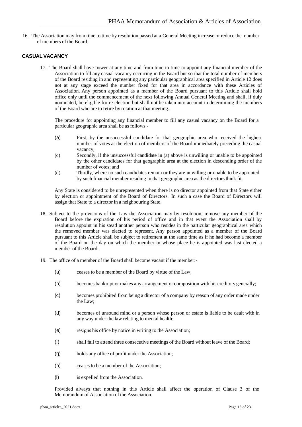16. The Association may from time to time by resolution passed at a General Meeting increase or reduce the number of members of the Board.

## **CASUALVACANCY**

17. The Board shall have power at any time and from time to time to appoint any financial member of the Association to fill any casual vacancy occurring in the Board but so that the total number of members of the Board residing in and representing any particular geographical area specified in Article 12 does not at any stage exceed the number fixed for that area in accordance with these Articles of Association. Any person appointed as a member of the Board pursuant to this Article shall hold office only until the commencement of the next following Annual General Meeting and shall, if duly nominated, be eligible for re-election but shall not be taken into account in determining the members of the Board who are to retire by rotation at that meeting.

The procedure for appointing any financial member to fill any casual vacancy on the Board for a particular geographic area shall be as follows:-

- (a) First, by the unsuccessful candidate for that geographic area who received the highest number of votes at the election of members of the Board immediately preceding the casual vacancy;
- (c) Secondly, if the unsuccessful candidate in (a) above is unwilling or unable to be appointed by the other candidates for that geographic area at the election in descending order of the number of votes; and
- (d) Thirdly, where no such candidates remain or they are unwilling or unable to be appointed by such financial member residing in that geographic area as the directors think fit.

Any State is considered to be unrepresented when there is no director appointed from that State either by election or appointment of the Board of Directors. In such a case the Board of Directors will assign that State to a director in a neighbouring State.

- 18. Subject to the provisions of the Law the Association may by resolution, remove any member of the Board before the expiration of his period of office and in that event the Association shall by resolution appoint in his stead another person who resides in the particular geographical area which the removed member was elected to represent. Any person appointed as a member of the Board pursuant to this Article shall be subject to retirement at the same time as if he had become a member of the Board on the day on which the member in whose place he is appointed was last elected a member of the Board.
- 19. The office of a member of the Board shall become vacant if the member:-
	- (a) ceases to be a member of the Board by virtue of the Law;
	- (b) becomes bankrupt or makes any arrangement or composition with his creditors generally;
	- (c) becomes prohibited from being a director of a company by reason of any order made under the Law;
	- (d) becomes of unsound mind or a person whose person or estate is liable to be dealt with in any way under the law relating to mental health;
	- (e) resigns his office by notice in writing to the Association;
	- (f) shall fail to attend three consecutive meetings of the Board without leave of the Board;
	- (g) holds any office of profit under the Association;
	- (h) ceases to be a member of the Association;
	- (i) is expelled from the Association*.*

Provided always that nothing in this Article shall affect the operation of Clause 3 of the Memorandum of Association of the Association.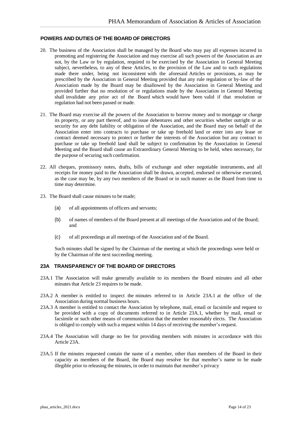#### **POWERS AND DUTIES OF THE BOARD OF DIRECTORS**

- 20. The business of the Association shall be managed by the Board who may pay all expenses incurred in promoting and registering the Association and may exercise all such powers of the Association as are not, by the Law or by regulation, required to be exercised by the Association in General Meeting subject, nevertheless, to any of these Articles, to the provision of the Law and to such regulations made there under, being not inconsistent with the aforesaid Articles or provisions, as may be prescribed by the Association in General Meeting provided that any rule regulation or by-law of the Association made by the Board may be disallowed by the Association in General Meeting and provided further that no resolution of or regulations made by the Association in General Meeting shall invalidate any prior act of the Board which would have been valid if that resolution or regulation had not been passed or made.
- 21. The Board may exercise all the powers of the Association to borrow money and to mortgage or charge its property, or any part thereof, and to issue debentures and other securities whether outright or as security for any debt liability or obligation of the Association, and the Board may on behalf of the Association enter into contracts to purchase or take up freehold land or enter into any lease or contract deemed necessary to protect or further the interests of the Association but any contract to purchase or take up freehold land shall be subject to confirmation by the Association in General Meeting and the Board shall cause an Extraordinary General Meeting to be held, when necessary, for the purpose of securing such confirmation.
- 22. All cheques, promissory notes, drafts, bills of exchange and other negotiable instruments, and all receipts for money paid to the Association shall be drawn, accepted, endorsed or otherwise executed, as the case may be, by any two members of the Board or in such manner as the Board from time to time may determine.
- 23. The Board shall cause minutes to be made;
	- (a) of all appointments of officers and servants;
	- (b) of names of members of the Board present at all meetings of the Association and of the Board; and
	- (c) of all proceedings at all meetings of the Association and of the Board.

Such minutes shall be signed by the Chairman of the meeting at which the proceedings were held or by the Chairman of the next succeeding meeting.

### **23A TRANSPARENCY OF THE BOARD OF DIRECTORS**

- 23A.1 The Association will make generally available to its members the Board minutes and all other minutes that Article 23 requires to be made.
- 23A.2 A member is entitled to inspect the minutes referred to in Article 23A.1 at the office of the Association during normal business hours.
- 23A.3 A member is entitled to contact the Association by telephone, mail, email or facsimile and request to be provided with a copy of documents referred to in Article 23A.1, whether by mail, email or facsimile or such other means of communication that the member reasonably elects. The Association is obliged to comply with such a request within 14 days of receiving the member's request.
- 23A.4 The Association will charge no fee for providing members with minutes in accordance with this Article 23A.
- 23A.5 If the minutes requested contain the name of a member, other than members of the Board in their capacity as members of the Board, the Board may resolve for that member's name to be made illegible prior to releasing the minutes, in order to maintain that member's privacy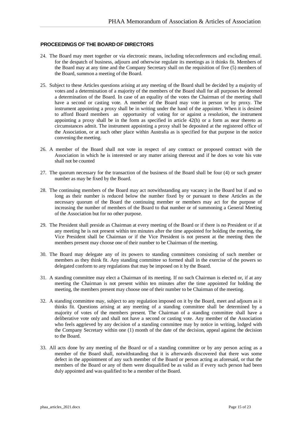### **PROCEEDINGS OF THE BOARD OF DIRECTORS**

- 24. The Board may meet together or via electronic means, including teleconferences and excluding email. for the despatch of business, adjourn and otherwise regulate its meetings as it thinks fit. Members of the Board may at any time and the Company Secretary shall on the requisition of five (5) members of the Board, summon a meeting of the Board.
- 25. Subject to these Articles questions arising at any meeting of the Board shall be decided by a majority of votes and a determination of a majority of the members of the Board shall for all purposes be deemed a determination of the Board. In case of an equality of the votes the Chairman of the meeting shall have a second or casting vote. A member of the Board may vote in person or by proxy. The instrument appointing a proxy shall be in writing under the hand of the appointer. When it is desired to afford Board members an opportunity of voting for or against a resolution, the instrument appointing a proxy shall be in the form as specified in article  $42(h)$  or a form as near thereto as circumstances admit. The instrument appointing a proxy shall be deposited at the registered office of the Association, or at such other place within Australia as is specified for that purpose in the notice convening the meeting.
- 26. A member of the Board shall not vote in respect of any contract or proposed contract with the Association in which he is interested or any matter arising thereout and if he does so vote his vote shall not be counted
- 27. The quorum necessary for the transaction of the business of the Board shall be four (4) or such greater number as may be fixed by the Board.
- 28. The continuing members of the Board may act notwithstanding any vacancy in the Board but if and so long as their number is reduced below the number fixed by or pursuant to these Articles as the necessary quorum of the Board the continuing member or members may act for the purpose of increasing the number of members of the Board to that number or of summoning a General Meeting of the Association but for no other purpose.
- 29. The President shall preside as Chairman at every meeting of the Board or if there is no President or if at any meeting he is not present within ten minutes after the time appointed for holding the meeting, the Vice President shall be Chairman or if the Vice President is not present at the meeting then the members present may choose one of their number to be Chairman of the meeting.
- 30. The Board may delegate any of its powers to standing committees consisting of such member or members as they think fit. Any standing committee so formed shall in the exercise of the powers so delegated conform to any regulations that may be imposed on it by the Board.
- 31. A standing committee may elect a Chairman of its meeting. If no such Chairman is elected or, if at any meeting the Chairman is not present within ten minutes after the time appointed for holding the meeting, the members present may choose one of their number to be Chairman of the meeting.
- 32. A standing committee may, subject to any regulation imposed on it by the Board, meet and adjourn as it thinks fit. Questions arising at any meeting of a standing committee shall be determined by a majority of votes of the members present. The Chairman of a standing committee shall have a deliberative vote only and shall not have a second or casting vote. Any member of the Association who feels aggrieved by any decision of a standing committee may by notice in writing, lodged with the Company Secretary within one (1) month of the date of the decision, appeal against the decision to the Board.
- 33. All acts done by any meeting of the Board or of a standing committee or by any person acting as a member of the Board shall, notwithstanding that it is afterwards discovered that there was some defect in the appointment of any such member of the Board or person acting as aforesaid, or that the members of the Board or any of them were disqualified be as valid as if every such person had been duly appointed and was qualified to be a member of the Board.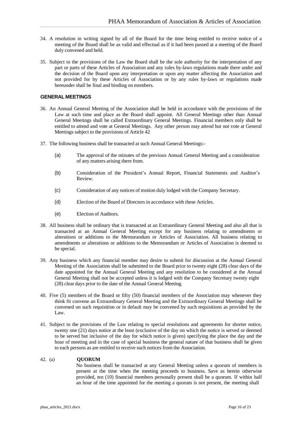- 34. A resolution in writing signed by all of the Board for the time being entitled to receive notice of a meeting of the Board shall be as valid and effectual as if it had been passed at a meeting of the Board duly convened and held.
- 35. Subject to the provisions of the Law the Board shall be the sole authority for the interpretation of any part or parts of these Articles of Association and any rules by-laws regulations made there under and the decision of the Board upon any interpretation or upon any matter affecting the Association and not provided for by these Articles of Association or by any rules by-laws or regulations made hereunder shall be final and binding on members.

## **GENERAL MEETINGS**

- 36. An Annual General Meeting of the Association shall be held in accordance with the provisions of the Law at such time and place as the Board shall appoint. All General Meetings other than Annual General Meetings shall be called Extraordinary General Meetings. Financial members only shall be entitled to attend and vote at General Meetings. Any other person may attend but not vote at General Meetings subject to the provisions of Article 42
- 37. The following business shall be transacted at such Annual General Meetings:-
	- (a) The approval of the minutes of the previous Annual General Meeting and a consideration of any matters arising there from.
	- (b) Consideration of the President's Annual Report, Financial Statements and Auditor's Review.
	- (c) Consideration of any notices of motion duly lodged with the Company Secretary.
	- (d) Election of the Board of Directors in accordance with these Articles.
	- (e) Election of Auditors.
- 38. All business shall be ordinary that is transacted at an Extraordinary General Meeting and also all that is transacted at an Annual General Meeting except for any business relating to amendments or alterations or additions to the Memorandum or Articles of Association. All business relating to amendments or alterations or additions to the Memorandum or Articles of Association is deemed to be special.
- 39. Any business which any financial member may desire to submit for discussion at the Annual General Meeting of the Association shall be submitted to the Board prior to twenty eight (28) clear days of the date appointed for the Annual General Meeting and any resolution to be considered at the Annual General Meeting shall not be accepted unless it is lodged with the Company Secretary twenty eight (28) clear days prior to the date of the Annual General Meeting.
- 40. Five (5) members of the Board or fifty (50) financial members of the Association may whenever they think fit convene an Extraordinary General Meeting and the Extraordinary General Meetings shall be convened on such requisition or in default may be convened by such requisitions as provided by the Law.
- 41. Subject to the provisions of the Law relating to special resolutions and agreements for shorter notice, twenty one (21) days notice at the least (exclusive of the day on which the notice is served or deemed to be served but inclusive of the day for which notice is given) specifying the place the day and the hour of meeting and in the case of special business the general nature of that business shall be given to each persons as are entitled to receive such notices from the Association.

### 42. (a) **QUORUM**

No business shall be transacted at any General Meeting unless a quorum of members is present at the time when the meeting proceeds to business. Save as herein otherwise provided, ten (10) financial members personally present shall be a quorum. If within half an hour of the time appointed for the meeting a quorum is not present, the meeting shall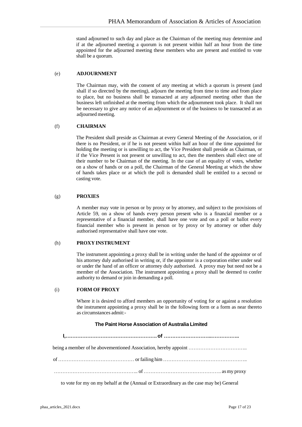stand adjourned to such day and place as the Chairman of the meeting may determine and if at the adjourned meeting a quorum is not present within half an hour from the time appointed for the adjourned meeting these members who are present and entitled to vote shall be a quorum.

### (e) **ADJOURNMENT**

The Chairman may, with the consent of any meeting at which a quorum is present (and shall if so directed by the meeting), adjourn the meeting from time to time and from place to place, but no business shall be transacted at any adjourned meeting other than the business left unfinished at the meeting from which the adjournment took place. It shall not be necessary to give any notice of an adjournment or of the business to be transacted at an adjourned meeting.

### (f) **CHAIRMAN**

The President shall preside as Chairman at every General Meeting of the Association, or if there is no President, or if he is not present within half an hour of the time appointed for holding the meeting or is unwilling to act, the Vice President shall preside as Chairman, or if the Vice Present is not present or unwilling to act, then the members shall elect one of their number to be Chairman of the meeting. In the case of an equality of votes, whether on a show of hands or on a poll, the Chairman of the General Meeting at which the show of hands takes place or at which the poll is demanded shall be entitled to a second or casting vote.

## (g) **PROXIES**

A member may vote in person or by proxy or by attorney, and subject to the provisions of Article 59, on a show of hands every person present who is a financial member or a representative of a financial member, shall have one vote and on a poll or ballot every financial member who is present in person or by proxy or by attorney or other duly authorised representative shall have one vote.

# (h) **PROXYINSTRUMENT**

The instrument appointing a proxy shall be in writing under the hand of the appointor or of his attorney duly authorised in writing or, if the appointor is a corporation either under seal or under the hand of an officer or attorney duly authorised. A proxy may but need not be a member of the Association. The instrument appointing a proxy shall be deemed to confer authority to demand or join in demanding a poll.

### (i) **FORM OF PROXY**

Where it is desired to afford members an opportunity of voting for or against a resolution the instrument appointing a proxy shall be in the following form or a form as near thereto as circumstances admit:-

### **The Paint Horse Association of Australia Limited**

| as my proxy |  |
|-------------|--|

to vote for my on my behalf at the (Annual or Extraordinary as the case may be) General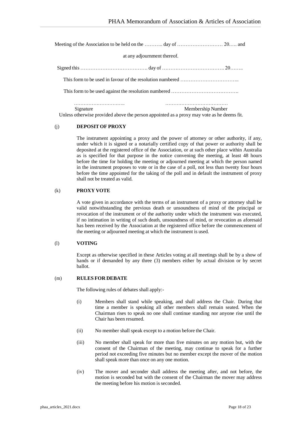Meeting of the Association to be held on the ……….. day of ……………………… 20.…. and

#### at any adjournment thereof.

Signed this …………………………………. day of ………………………………. 20……..

This form to be used in favour of the resolution numbered ……………………………..

Thisform to be used against the resolution numbered ………………………………….

………………………….. ………………………………… Signature Membership Number Unless otherwise provided above the person appointed as a proxy may vote as he deems fit.

### (j) **DEPOSIT OF PROXY**

The instrument appointing a proxy and the power of attorney or other authority, if any, under which it is signed or a notarially certified copy of that power or authority shall be deposited at the registered office of the Association, or at such other place within Australia as is specified for that purpose in the notice convening the meeting, at least 48 hours before the time for holding the meeting or adjourned meeting at which the person named in the instrument proposes to vote or in the case of a poll, not less than twenty four hours before the time appointed for the taking of the poll and in default the instrument of proxy shall not be treated as valid.

#### (k) **PROXY VOTE**

A vote given in accordance with the terms of an instrument of a proxy or attorney shall be valid notwithstanding the previous death or unsoundness of mind of the principal or revocation of the instrument or of the authority under which the instrument was executed, if no intimation in writing of such death, unsoundness of mind, or revocation as aforesaid has been received by the Association at the registered office before the commencement of the meeting or adjourned meeting at which the instrument is used.

#### (l) **VOTING**

Except as otherwise specified in these Articles voting at all meetings shall be by a show of hands or if demanded by any three (3) members either by actual division or by secret ballot.

#### (m) **RULES FOR DEBATE**

The following rules of debates shall apply:-

- (i) Members shall stand while speaking, and shall address the Chair. During that time a member is speaking all other members shall remain seated. When the Chairman rises to speak no one shall continue standing nor anyone rise until the Chair has been resumed.
- (ii) No member shall speak except to a motion before the Chair.
- (iii) No member shall speak for more than five minutes on any motion but, with the consent of the Chairman of the meeting, may continue to speak for a further period not exceeding five minutes but no member except the mover of the motion shall speak more than once on any one motion.
- (iv) The mover and seconder shall address the meeting after, and not before, the motion is seconded but with the consent of the Chairman the mover may address the meeting before his motion is seconded.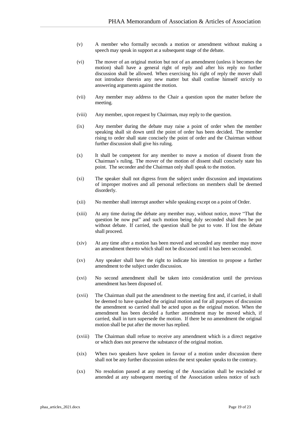- (v) A member who formally seconds a motion or amendment without making a speech may speak in support at a subsequent stage of the debate.
- (vi) The mover of an original motion but not of an amendment (unless it becomes the motion) shall have a general right of reply and after his reply no further discussion shall be allowed. When exercising his right of reply the mover shall not introduce therein any new matter but shall confine himself strictly to answering arguments against the motion.
- (vii) Any member may address to the Chair a question upon the matter before the meeting.
- (viii) Any member, upon request by Chairman, may reply to the question.
- (ix) Any member during the debate may raise a point of order when the member speaking shall sit down until the point of order has been decided. The member rising to order shall state concisely the point of order and the Chairman without further discussion shall give his ruling.
- (x) It shall be competent for any member to move a motion of dissent from the Chairman's ruling. The mover of the motion of dissent shall concisely state his point. The seconder and the Chairman only shall speak to the motion.
- (xi) The speaker shall not digress from the subject under discussion and imputations of improper motives and all personal reflections on members shall be deemed disorderly.
- (xii) No member shall interrupt another while speaking except on a point of Order.
- (xiii) At any time during the debate any member may, without notice, move "That the question be now put" and such motion being duly seconded shall then be put without debate. If carried, the question shall be put to vote. If lost the debate shall proceed.
- (xiv) At any time after a motion has been moved and seconded any member may move an amendment thereto which shall not be discussed until it has been seconded.
- (xv) Any speaker shall have the right to indicate his intention to propose a further amendment to the subject under discussion.
- (xvi) No second amendment shall be taken into consideration until the previous amendment has been disposed of.
- (xvii) The Chairman shall put the amendment to the meeting first and, if carried, it shall be deemed to have quashed the original motion and for all purposes of discussion the amendment so carried shall be acted upon as the original motion. When the amendment has been decided a further amendment may be moved which, if carried, shall in turn supersede the motion. If there be no amendment the original motion shall be put after the mover has replied.
- (xviii) The Chairman shall refuse to receive any amendment which is a direct negative or which does not preserve the substance of the original motion.
- (xix) When two speakers have spoken in favour of a motion under discussion there shall not be any further discussion unless the next speaker speaks to the contrary.
- (xx) No resolution passed at any meeting of the Association shall be rescinded or amended at any subsequent meeting of the Association unless notice of such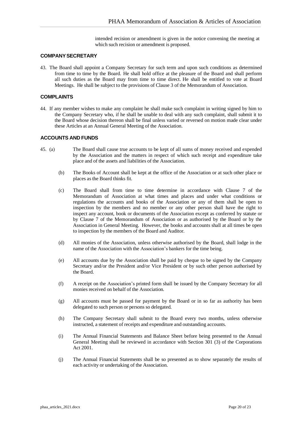intended recision or amendment is given in the notice convening the meeting at which such recision or amendment is proposed.

#### **COMPANYSECRETARY**

43. The Board shall appoint a Company Secretary for such term and upon such conditions as determined from time to time by the Board. He shall hold office at the pleasure of the Board and shall perform all such duties as the Board may from time to time direct. He shall be entitled to vote at Board Meetings. He shall be subject to the provisions of Clause 3 of the Memorandum of Association.

### **COMPLAINTS**

44. If any member wishes to make any complaint he shall make such complaint in writing signed by him to the Company Secretary who, if he shall be unable to deal with any such complaint, shall submit it to the Board whose decision thereon shall be final unless varied or reversed on motion made clear under these Articles at an Annual General Meeting of the Association.

# **ACCOUNTS AND FUNDS**

- 45. (a) The Board shall cause true accounts to be kept of all sums of money received and expended by the Association and the matters in respect of which such receipt and expenditure take place and of the assets and liabilities of the Association.
	- (b) The Books of Account shall be kept at the office of the Association or at such other place or places as the Board thinks fit.
	- (c) The Board shall from time to time determine in accordance with Clause 7 of the Memorandum of Association at what times and places and under what conditions or regulations the accounts and books of the Association or any of them shall be open to inspection by the members and no member or any other person shall have the right to inspect any account, book or documents of the Association except as conferred by statute or by Clause 7 of the Memorandum of Association or as authorised by the Board or by the Association in General Meeting. However, the books and accounts shall at all times be open to inspection by the members of the Board and Auditor.
	- (d) All monies of the Association, unless otherwise authorised by the Board, shall lodge in the name of the Association with the Association's bankers for the time being.
	- (e) All accounts due by the Association shall be paid by cheque to be signed by the Company Secretary and/or the President and/or Vice President or by such other person authorised by the Board.
	- (f) A receipt on the Association's printed form shall be issued by the Company Secretary for all monies received on behalf of the Association.
	- (g) All accounts must be passed for payment by the Board or in so far as authority has been delegated to such person or persons so delegated*.*
	- (h) The Company Secretary shall submit to the Board every two months, unless otherwise instructed, a statement of receipts and expenditure and outstanding accounts.
	- (i) The Annual Financial Statements and Balance Sheet before being presented to the Annual General Meeting shall be reviewed in accordance with Section 301 (3) of the Corporations Act 2001.
	- (j) The Annual Financial Statements shall be so presented as to show separately the results of each activity or undertaking of the Association.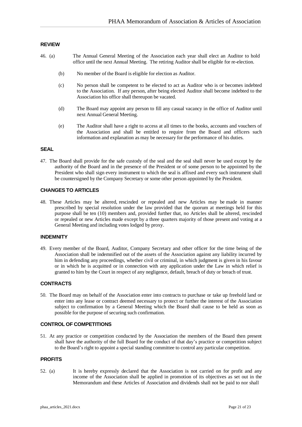#### **REVIEW**

- 46. (a) The Annual General Meeting of the Association each year shall elect an Auditor to hold office until the next Annual Meeting. The retiring Auditor shall be eligible for re-election.
	- (b) No member of the Board is eligible for election as Auditor.
	- (c) No person shall be competent to be elected to act as Auditor who is or becomes indebted to the Association. If any person, after being elected Auditor shall become indebted to the Association his office shall thereupon be vacated.
	- (d) The Board may appoint any person to fill any casual vacancy in the office of Auditor until next Annual General Meeting.
	- (e) The Auditor shall have a right to access at all times to the books, accounts and vouchers of the Association and shall be entitled to require from the Board and officers such information and explanation as may be necessary for the performance of his duties.

#### **SEAL**

47. The Board shall provide for the safe custody of the seal and the seal shall never be used except by the authority of the Board and in the presence of the President or of some person to be appointed by the President who shall sign every instrument to which the seal is affixed and every such instrument shall be countersigned by the Company Secretary or some other person appointed by the President.

#### **CHANGES TO ARTICLES**

48. These Articles may be altered, rescinded or repealed and new Articles may be made in manner prescribed by special resolution under the law provided that the quorum at meetings held for this purpose shall be ten (10) members and, provided further that, no Articles shall be altered, rescinded or repealed or new Articles made except by a three quarters majority of those present and voting at a General Meeting and including votes lodged by proxy.

#### **INDEMNITY**

49. Every member of the Board, Auditor, Company Secretary and other officer for the time being of the Association shall be indemnified out of the assets of the Association against any liability incurred by him in defending any proceedings, whether civil or criminal, in which judgment is given in his favour or in which he is acquitted or in connection with any application under the Law in which relief is granted to him by the Court in respect of any negligence, default, breach of duty or breach of trust.

### **CONTRACTS**

50. The Board may on behalf of the Association enter into contracts to purchase or take up freehold land or enter into any lease or contract deemed necessary to protect or further the interest of the Association subject to confirmation by a General Meeting which the Board shall cause to be held as soon as possible for the purpose of securing such confirmation.

#### **CONTROL OF COMPETITIONS**

51. At any practice or competition conducted by the Association the members of the Board then present shall have the authority of the full Board for the conduct of that day's practice or competition subject to the Board's right to appoint a special standing committee to control any particular competition.

#### **PROFITS**

52. (a) It is hereby expressly declared that the Association is not carried on for profit and any income of the Association shall be applied in promotion of its objectives as set out in the Memorandum and these Articles of Association and dividends shall not be paid to nor shall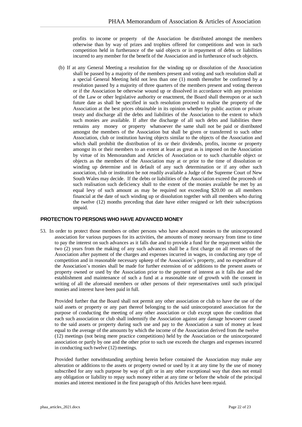profits to income or property of the Association be distributed amongst the members otherwise than by way of prizes and trophies offered for competitions and won in such competition held in furtherance of the said objects or in repayment of debts or liabilities incurred to any member for the benefit of the Association and in furtherance of such objects.

(b) If at any General Meeting a resolution for the winding up or dissolution of the Association shall be passed by a majority of the members present and voting and such resolution shall at a special General Meeting held not less than one (1) month thereafter be confirmed by a resolution passed by a majority of three quarters of the members present and voting thereon or if the Association be otherwise wound up or dissolved in accordance with any provision of the Law or other legislative authority or enactment, the Board shall thereupon or at such future date as shall be specified in such resolution proceed to realise the property of the Association at the best prices obtainable in its opinion whether by public auction or private treaty and discharge all the debts and liabilities of the Association to the extent to which such monies are available. If after the discharge of all such debts and liabilities there remains any money or property whatsoever the same shall not be paid or distributed amongst the members of the Association but shall be given or transferred to such other Association, club or institution having objects similar to the objects of the Association and which shall prohibit the distribution of its or their dividends, profits, income or property amongst its or their members to an extent at least as great as is imposed on the Association by virtue of its Memorandum and Articles of Association or to such charitable object or objects as the members of the Association may at or prior to the time of dissolution or winding up determine and in default of any such determination or if any other such association, club or institution be not readily available a Judge of the Supreme Court of New South Wales may decide. If the debts or liabilities of the Association exceed the proceeds of such realisation such deficiency shall to the extent of the monies available be met by an equal levy of such amount as may be required not exceeding \$20.00 on all members financial at the date of such winding up or dissolution together with all members who during the twelve (12) months preceding that date have either resigned or left their subscriptions unpaid.

## **PROTECTION TO PERSONS WHO HAVE ADVANCED MONEY**

53. In order to protect those members or other persons who have advanced monies to the unincorporated association for various purposes for its activities, the amounts of money necessary from time to time to pay the interest on such advances as it falls due and to provide a fund for the repayment within the two (2) years from the making of any such advances shall be a first charge on all revenues of the Association after payment of the charges and expenses incurred in wages, in conducting any type of competition and in reasonable necessary upkeep of the Association's property, and no expenditure of the Association's monies shall be made for further extension of or additions to the present assets or property owned or used by the Association prior to the payment of interest as it falls due and the establishment and maintenance of such a fund at a reasonable rate of growth with the consent in writing of all the aforesaid members or other persons of their representatives until such principal monies and interest have been paid in full.

Provided further that the Board shall not permit any other association or club to have the use of the said assets or property or any part thereof belonging to the said unincorporated association for the purpose of conducting the meeting of any other association or club except upon the condition that each such association or club shall indemnify the Association against any damage howsoever caused to the said assets or property during such use and pay to the Association a sum of money at least equal to the average of the amounts by which the income of the Association derived from the twelve (12) meetings (not being mere practice competitions) held by the Association or the unincorporated association or partly by one and the other prior to such use exceeds the charges and expenses incurred in conducting such twelve (12) meetings.

Provided further notwithstanding anything herein before contained the Association may make any alteration or additions to the assets or property owned or used by it at any time by the use of money subscribed for any such purpose by way of gift or in any other exceptional way that does not entail any obligation or liability to repay such money either at any time or before the whole of the principal monies and interest mentioned in the first paragraph of this Articles have been repaid.